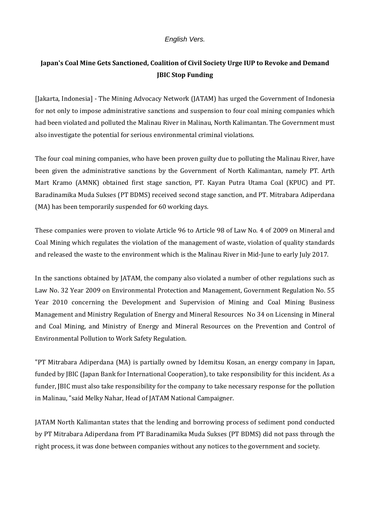## *English Vers.*

## **Japan's Coal Mine Gets Sanctioned, Coalition of Civil Society Urge IUP to Revoke and Demand JBIC Stop Funding**

[Jakarta, Indonesia] - The Mining Advocacy Network (JATAM) has urged the Government of Indonesia for not only to impose administrative sanctions and suspension to four coal mining companies which had been violated and polluted the Malinau River in Malinau, North Kalimantan. The Government must also investigate the potential for serious environmental criminal violations.

The four coal mining companies, who have been proven guilty due to polluting the Malinau River, have been given the administrative sanctions by the Government of North Kalimantan, namely PT. Arth Mart Kramo (AMNK) obtained first stage sanction, PT. Kayan Putra Utama Coal (KPUC) and PT. Baradinamika Muda Sukses (PT BDMS) received second stage sanction, and PT. Mitrabara Adiperdana (MA) has been temporarily suspended for 60 working days.

These companies were proven to violate Article 96 to Article 98 of Law No. 4 of 2009 on Mineral and Coal Mining which regulates the violation of the management of waste, violation of quality standards and released the waste to the environment which is the Malinau River in Mid-June to early July 2017.

In the sanctions obtained by JATAM, the company also violated a number of other regulations such as Law No. 32 Year 2009 on Environmental Protection and Management, Government Regulation No. 55 Year 2010 concerning the Development and Supervision of Mining and Coal Mining Business Management and Ministry Regulation of Energy and Mineral Resources No 34 on Licensing in Mineral and Coal Mining, and Ministry of Energy and Mineral Resources on the Prevention and Control of Environmental Pollution to Work Safety Regulation.

"PT Mitrabara Adiperdana (MA) is partially owned by Idemitsu Kosan, an energy company in Japan, funded by JBIC (Japan Bank for International Cooperation), to take responsibility for this incident. As a funder, JBIC must also take responsibility for the company to take necessary response for the pollution in Malinau, "said Melky Nahar, Head of JATAM National Campaigner.

JATAM North Kalimantan states that the lending and borrowing process of sediment pond conducted by PT Mitrabara Adiperdana from PT Baradinamika Muda Sukses (PT BDMS) did not pass through the right process, it was done between companies without any notices to the government and society.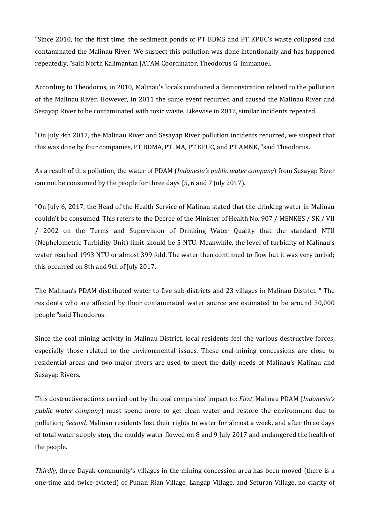"Since 2010, for the first time, the sediment ponds of PT BDMS and PT KPUC's waste collapsed and contaminated the Malinau River. We suspect this pollution was done intentionally and has happened repeatedly, "said North Kalimantan JATAM Coordinator, Theodorus G. Immanuel.

According to Theodorus, in 2010, Malinau's locals conducted a demonstration related to the pollution of the Malinau River. However, in 2011 the same event recurred and caused the Malinau River and Sesayap River to be contaminated with toxic waste. Likewise in 2012, similar incidents repeated.

"On July 4th 2017, the Malinau River and Sesayap River pollution incidents recurred, we suspect that this was done by four companies, PT BDMA, PT. MA, PT KPUC, and PT AMNK, "said Theodorus.

As a result of this pollution, the water of PDAM (*Indonesia's public water company*) from Sesayap River can not be consumed by the people for three days (5, 6 and 7 July 2017).

"On July 6, 2017, the Head of the Health Service of Malinau stated that the drinking water in Malinau couldn't be consumed. This refers to the Decree of the Minister of Health No. 907 / MENKES / SK / VII / 2002 on the Terms and Supervision of Drinking Water Quality that the standard NTU (Nephelometric Turbidity Unit) limit should be 5 NTU. Meanwhile, the level of turbidity of Malinau's water reached 1993 NTU or almost 399 fold. The water then continued to flow but it was very turbid; this occurred on 8th and 9th of July 2017.

The Malinau's PDAM distributed water to five sub-districts and 23 villages in Malinau District. " The residents who are affected by their contaminated water source are estimated to be around 30,000 people "said Theodorus.

Since the coal mining activity in Malinau District, local residents feel the various destructive forces, especially those related to the environmental issues. These coal-mining concessions are close to residential areas and two major rivers are used to meet the daily needs of Malinau's Malinau and Sesayap Rivers.

This destructive actions carried out by the coal companies' impact to: *First*, Malinau PDAM (*Indonesia's public water company*) must spend more to get clean water and restore the environment due to pollution; *Second*, Malinau residents lost their rights to water for almost a week, and after three days of total water supply stop, the muddy water flowed on 8 and 9 July 2017 and endangered the health of the people.

*Thirdly*, three Dayak community's villages in the mining concession area has been moved (there is a one-time and twice-evicted) of Punan Rian Village, Langap Village, and Seturan Village, no clarity of